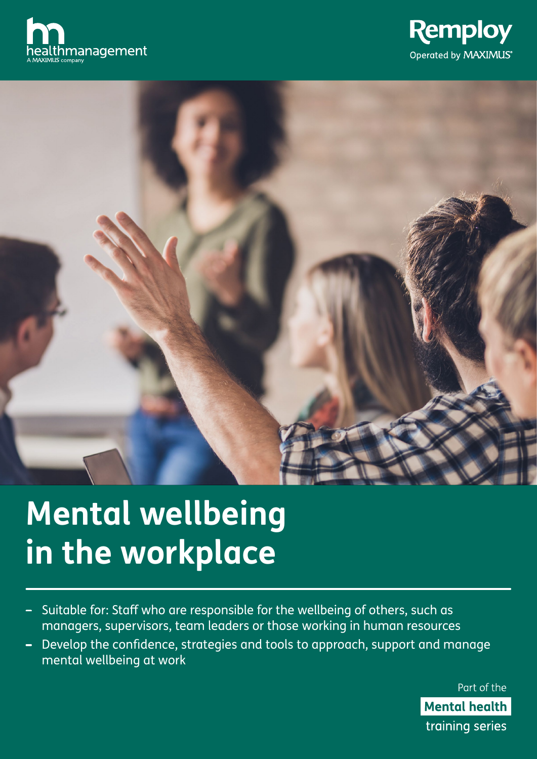





# **Mental wellbeing in the workplace**

- Suitable for: Staff who are responsible for the wellbeing of others, such as  $\overline{\phantom{0}}$ managers, supervisors, team leaders or those working in human resources
- Develop the confidence, strategies and tools to approach, support and manage  $\qquad \qquad$ mental wellbeing at work

Part of the **Mental health** training series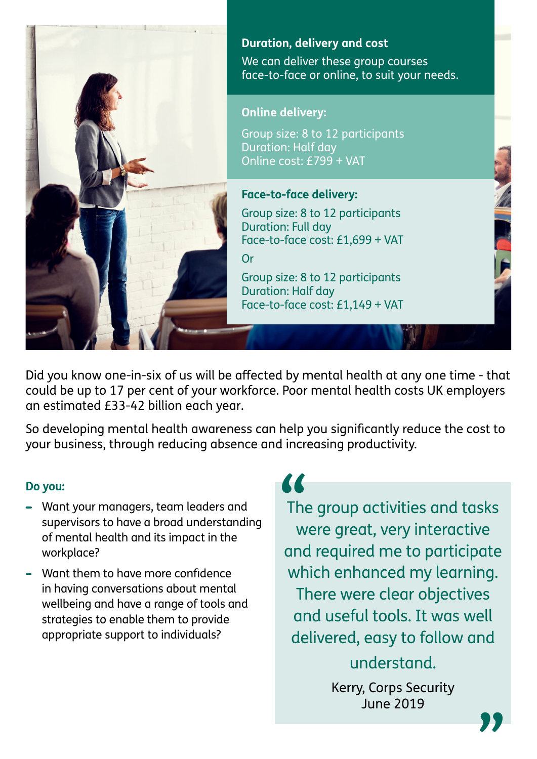

Did you know one-in-six of us will be affected by mental health at any one time - that could be up to 17 per cent of your workforce. Poor mental health costs UK employers an estimated £33-42 billion each year.

So developing mental health awareness can help you significantly reduce the cost to your business, through reducing absence and increasing productivity.

## **Do you:**

- Want your managers, team leaders and supervisors to have a broad understanding of mental health and its impact in the workplace?
- Want them to have more confidence in having conversations about mental wellbeing and have a range of tools and strategies to enable them to provide appropriate support to individuals?

**"**<br>The

The group activities and tasks were great, very interactive and required me to participate which enhanced my learning. There were clear objectives and useful tools. It was well delivered, easy to follow and understand.

> Kerry, Corps Security June 2019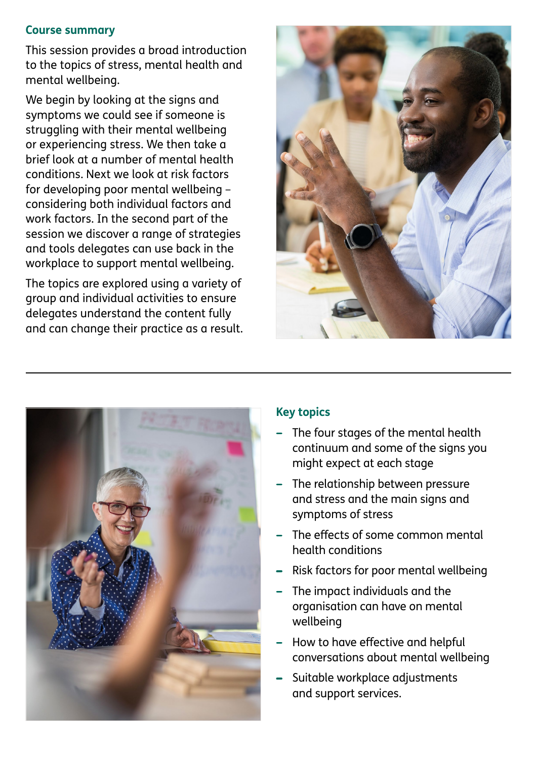#### **Course summary**

This session provides a broad introduction to the topics of stress, mental health and mental wellbeing.

We begin by looking at the signs and symptoms we could see if someone is struggling with their mental wellbeing or experiencing stress. We then take a brief look at a number of mental health conditions. Next we look at risk factors for developing poor mental wellbeing – considering both individual factors and work factors. In the second part of the session we discover a range of strategies and tools delegates can use back in the workplace to support mental wellbeing.

The topics are explored using a variety of group and individual activities to ensure delegates understand the content fully and can change their practice as a result.





## **Key topics**

- The four stages of the mental health continuum and some of the signs you might expect at each stage
- The relationship between pressure and stress and the main signs and symptoms of stress
- The effects of some common mental health conditions
- Risk factors for poor mental wellbeing
- The impact individuals and the organisation can have on mental wellbeing
- How to have effective and helpful conversations about mental wellbeing
- Suitable workplace adjustments and support services.